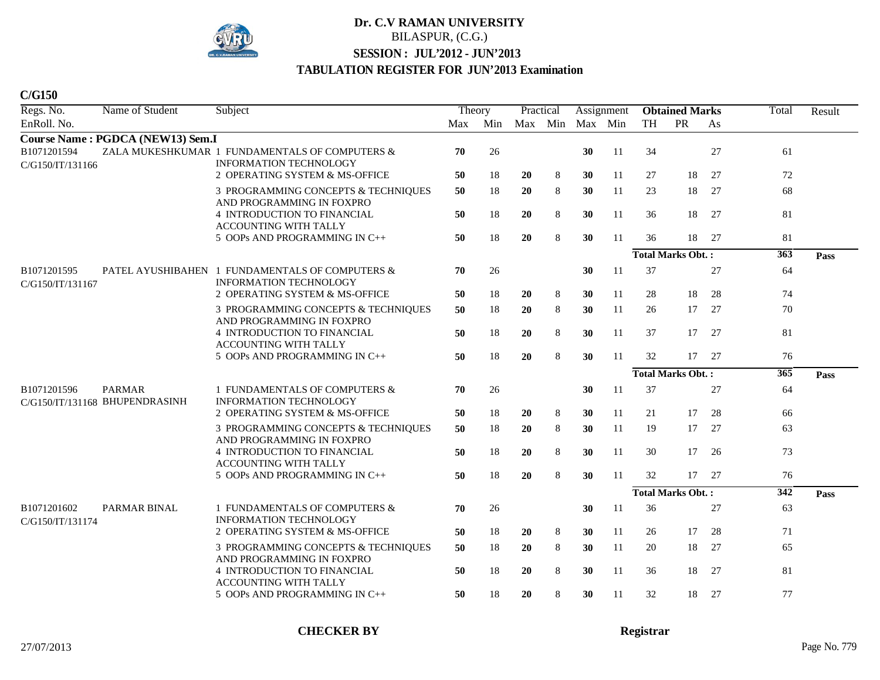

| Regs. No.                       | Name of Student                                 | Subject                                                                         | Theory |     | Practical |         |    | Assignment |           | <b>Obtained Marks</b>    |    | Total            | Result |
|---------------------------------|-------------------------------------------------|---------------------------------------------------------------------------------|--------|-----|-----------|---------|----|------------|-----------|--------------------------|----|------------------|--------|
| EnRoll. No.                     |                                                 |                                                                                 | Max    | Min |           | Max Min |    | Max Min    | <b>TH</b> | PR                       | As |                  |        |
|                                 | Course Name: PGDCA (NEW13) Sem.I                |                                                                                 |        |     |           |         |    |            |           |                          |    |                  |        |
| B1071201594<br>C/G150/IT/131166 |                                                 | ZALA MUKESHKUMAR 1 FUNDAMENTALS OF COMPUTERS &<br><b>INFORMATION TECHNOLOGY</b> | 70     | 26  |           |         | 30 | 11         | 34        |                          | 27 | 61               |        |
|                                 |                                                 | 2 OPERATING SYSTEM & MS-OFFICE                                                  | 50     | 18  | 20        | 8       | 30 | 11         | 27        | 18                       | 27 | 72               |        |
|                                 |                                                 | 3 PROGRAMMING CONCEPTS & TECHNIQUES<br>AND PROGRAMMING IN FOXPRO                | 50     | 18  | 20        | 8       | 30 | 11         | 23        | 18                       | 27 | 68               |        |
|                                 |                                                 | <b>4 INTRODUCTION TO FINANCIAL</b><br>ACCOUNTING WITH TALLY                     | 50     | 18  | 20        | 8       | 30 | 11         | 36        | 18                       | 27 | 81               |        |
|                                 |                                                 | 5 OOPs AND PROGRAMMING IN C++                                                   | 50     | 18  | 20        | 8       | 30 | 11         | 36        | 18                       | 27 | 81               |        |
|                                 |                                                 |                                                                                 |        |     |           |         |    |            |           | <b>Total Marks Obt.:</b> |    | $\overline{363}$ | Pass   |
| B1071201595<br>C/G150/IT/131167 |                                                 | PATEL AYUSHIBAHEN 1 FUNDAMENTALS OF COMPUTERS &<br>INFORMATION TECHNOLOGY       | 70     | 26  |           |         | 30 | 11         | 37        |                          | 27 | 64               |        |
|                                 |                                                 | 2 OPERATING SYSTEM & MS-OFFICE                                                  | 50     | 18  | 20        | 8       | 30 | 11         | 28        | 18                       | 28 | 74               |        |
|                                 |                                                 | 3 PROGRAMMING CONCEPTS & TECHNIQUES<br>AND PROGRAMMING IN FOXPRO                | 50     | 18  | 20        | 8       | 30 | 11         | 26        | 17                       | 27 | 70               |        |
|                                 |                                                 | 4 INTRODUCTION TO FINANCIAL<br>ACCOUNTING WITH TALLY                            | 50     | 18  | 20        | 8       | 30 | 11         | 37        | 17                       | 27 | 81               |        |
|                                 |                                                 | 5 OOPs AND PROGRAMMING IN C++                                                   | 50     | 18  | 20        | 8       | 30 | 11         | 32        | 17                       | 27 | 76               |        |
|                                 |                                                 |                                                                                 |        |     |           |         |    |            |           | <b>Total Marks Obt.:</b> |    | $\overline{365}$ | Pass   |
| B1071201596                     | <b>PARMAR</b><br>C/G150/IT/131168 BHUPENDRASINH | 1 FUNDAMENTALS OF COMPUTERS &<br><b>INFORMATION TECHNOLOGY</b>                  | 70     | 26  |           |         | 30 | 11         | 37        |                          | 27 | 64               |        |
|                                 |                                                 | 2 OPERATING SYSTEM & MS-OFFICE                                                  | 50     | 18  | 20        | 8       | 30 | 11         | 21        | 17                       | 28 | 66               |        |
|                                 |                                                 | 3 PROGRAMMING CONCEPTS & TECHNIQUES<br>AND PROGRAMMING IN FOXPRO                | 50     | 18  | 20        | 8       | 30 | 11         | 19        | 17                       | 27 | 63               |        |
|                                 |                                                 | 4 INTRODUCTION TO FINANCIAL<br><b>ACCOUNTING WITH TALLY</b>                     | 50     | 18  | 20        | 8       | 30 | 11         | 30        | 17                       | 26 | 73               |        |
|                                 |                                                 | 5 OOPs AND PROGRAMMING IN C++                                                   | 50     | 18  | 20        | 8       | 30 | 11         | 32        | 17                       | 27 | 76               |        |
|                                 |                                                 |                                                                                 |        |     |           |         |    |            |           | <b>Total Marks Obt.:</b> |    | 342              | Pass   |
| B1071201602<br>C/G150/IT/131174 | PARMAR BINAL                                    | 1 FUNDAMENTALS OF COMPUTERS &<br><b>INFORMATION TECHNOLOGY</b>                  | 70     | 26  |           |         | 30 | 11         | 36        |                          | 27 | 63               |        |
|                                 |                                                 | 2 OPERATING SYSTEM & MS-OFFICE                                                  | 50     | 18  | 20        | 8       | 30 | 11         | 26        | 17                       | 28 | 71               |        |
|                                 |                                                 | 3 PROGRAMMING CONCEPTS & TECHNIQUES<br>AND PROGRAMMING IN FOXPRO                | 50     | 18  | 20        | 8       | 30 | 11         | 20        | 18                       | 27 | 65               |        |
|                                 |                                                 | 4 INTRODUCTION TO FINANCIAL<br><b>ACCOUNTING WITH TALLY</b>                     | 50     | 18  | 20        | 8       | 30 | 11         | 36        | 18                       | 27 | 81               |        |
|                                 |                                                 | 5 OOPs AND PROGRAMMING IN C++                                                   | 50     | 18  | 20        | 8       | 30 | 11         | 32        | 18                       | 27 | 77               |        |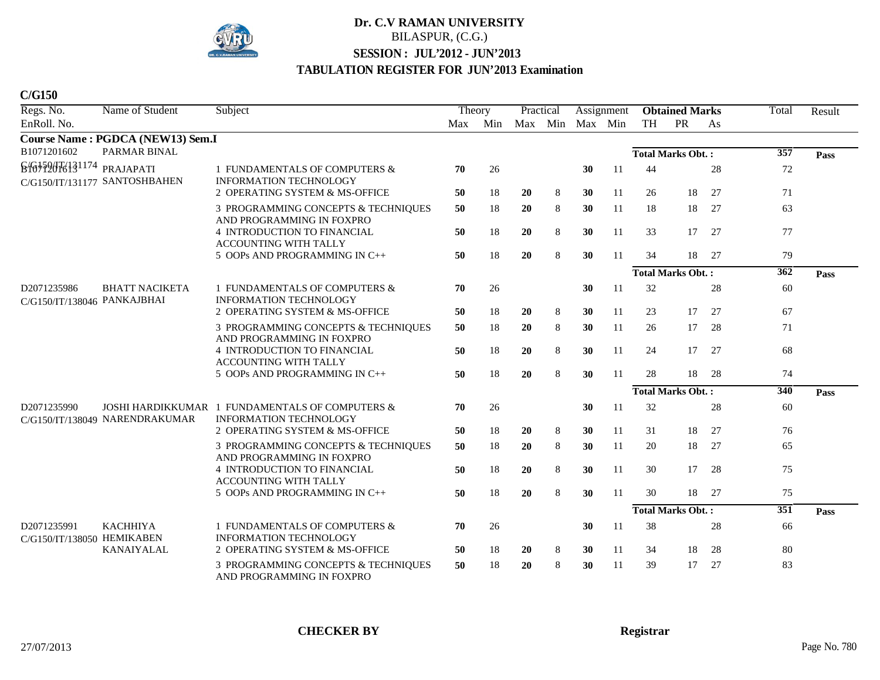

| Regs. No.                                  | Name of Student                                            | Subject                                                          | Theory |                         | Practical |         |    | Assignment    |    | <b>Obtained Marks</b>    |      | Total            | Result |
|--------------------------------------------|------------------------------------------------------------|------------------------------------------------------------------|--------|-------------------------|-----------|---------|----|---------------|----|--------------------------|------|------------------|--------|
| EnRoll. No.                                |                                                            |                                                                  |        | Max Min Max Min Max Min |           |         |    |               | TH | PR                       | As   |                  |        |
|                                            | Course Name: PGDCA (NEW13) Sem.I                           |                                                                  |        |                         |           |         |    |               |    |                          |      |                  |        |
| B1071201602                                | <b>PARMAR BINAL</b>                                        |                                                                  |        |                         |           |         |    |               |    | <b>Total Marks Obt.:</b> |      | 357              | Pass   |
| 846459676131174                            | PRAJAPATI<br>C/G150/IT/131177 SANTOSHBAHEN                 | 1 FUNDAMENTALS OF COMPUTERS &<br><b>INFORMATION TECHNOLOGY</b>   | 70     | 26                      |           |         | 30 | 11            | 44 |                          | 28   | 72               |        |
|                                            |                                                            | 2 OPERATING SYSTEM & MS-OFFICE                                   | 50     | 18                      | 20        | 8       | 30 | 11            | 26 | 18                       | 27   | 71               |        |
|                                            |                                                            | 3 PROGRAMMING CONCEPTS & TECHNIQUES<br>AND PROGRAMMING IN FOXPRO | 50     | 18                      | <b>20</b> | 8       | 30 | 11            | 18 | 18                       | 27   | 63               |        |
|                                            |                                                            | 4 INTRODUCTION TO FINANCIAL<br><b>ACCOUNTING WITH TALLY</b>      | 50     | 18                      | 20        | 8       | 30 | 11            | 33 | 17                       | 27   | 77               |        |
|                                            |                                                            | 5 OOPs AND PROGRAMMING IN C++                                    | 50     | 18                      | 20        | $\,8\,$ | 30 | 11            | 34 | 18                       | 27   | 79               |        |
|                                            |                                                            |                                                                  |        |                         |           |         |    |               |    | <b>Total Marks Obt.:</b> |      | $\overline{362}$ | Pass   |
| D2071235986<br>C/G150/IT/138046 PANKAJBHAI | <b>BHATT NACIKETA</b>                                      | 1 FUNDAMENTALS OF COMPUTERS &<br><b>INFORMATION TECHNOLOGY</b>   | 70     | 26                      |           |         | 30 | 11            | 32 |                          | 28   | 60               |        |
|                                            |                                                            | 2 OPERATING SYSTEM & MS-OFFICE                                   | 50     | 18                      | 20        | 8       | 30 | 11            | 23 | 17                       | 27   | 67               |        |
|                                            |                                                            | 3 PROGRAMMING CONCEPTS & TECHNIQUES<br>AND PROGRAMMING IN FOXPRO | 50     | 18                      | 20        | 8       | 30 | 11            | 26 | 17                       | 28   | 71               |        |
|                                            |                                                            | 4 INTRODUCTION TO FINANCIAL<br><b>ACCOUNTING WITH TALLY</b>      | 50     | 18                      | 20        | 8       | 30 | 11            | 24 | 17                       | 27   | 68               |        |
|                                            |                                                            | 5 OOPs AND PROGRAMMING IN C++                                    | 50     | 18                      | 20        | $\,8\,$ | 30 | 11            | 28 | 18                       | - 28 | 74               |        |
|                                            |                                                            |                                                                  |        |                         |           |         |    |               |    | <b>Total Marks Obt.:</b> |      | 340              | Pass   |
| D2071235990                                | <b>JOSHI HARDIKKUMAR</b><br>C/G150/IT/138049 NARENDRAKUMAR | 1 FUNDAMENTALS OF COMPUTERS &<br><b>INFORMATION TECHNOLOGY</b>   | 70     | 26                      |           |         | 30 | <sup>11</sup> | 32 |                          | 28   | 60               |        |
|                                            |                                                            | 2 OPERATING SYSTEM & MS-OFFICE                                   | 50     | 18                      | <b>20</b> | 8       | 30 | 11            | 31 | 18                       | 27   | 76               |        |
|                                            |                                                            | 3 PROGRAMMING CONCEPTS & TECHNIQUES<br>AND PROGRAMMING IN FOXPRO | 50     | 18                      | 20        | 8       | 30 | 11            | 20 | 18                       | 27   | 65               |        |
|                                            |                                                            | 4 INTRODUCTION TO FINANCIAL<br>ACCOUNTING WITH TALLY             | 50     | 18                      | 20        | 8       | 30 | 11            | 30 | 17                       | 28   | 75               |        |
|                                            |                                                            | 5 OOPs AND PROGRAMMING IN C++                                    | 50     | 18                      | 20        | 8       | 30 | 11            | 30 | 18                       | 27   | 75               |        |
|                                            |                                                            |                                                                  |        |                         |           |         |    |               |    | <b>Total Marks Obt.:</b> |      | $\overline{351}$ | Pass   |
| D2071235991<br>C/G150/IT/138050 HEMIKABEN  | <b>KACHHIYA</b>                                            | 1 FUNDAMENTALS OF COMPUTERS &<br><b>INFORMATION TECHNOLOGY</b>   | 70     | 26                      |           |         | 30 | 11            | 38 |                          | 28   | 66               |        |
|                                            | <b>KANAIYALAL</b>                                          | 2 OPERATING SYSTEM & MS-OFFICE                                   | 50     | 18                      | <b>20</b> | 8       | 30 | 11            | 34 | 18                       | 28   | 80               |        |
|                                            |                                                            | 3 PROGRAMMING CONCEPTS & TECHNIQUES<br>AND PROGRAMMING IN FOXPRO | 50     | 18                      | 20        | 8       | 30 | 11            | 39 | 17                       | 27   | 83               |        |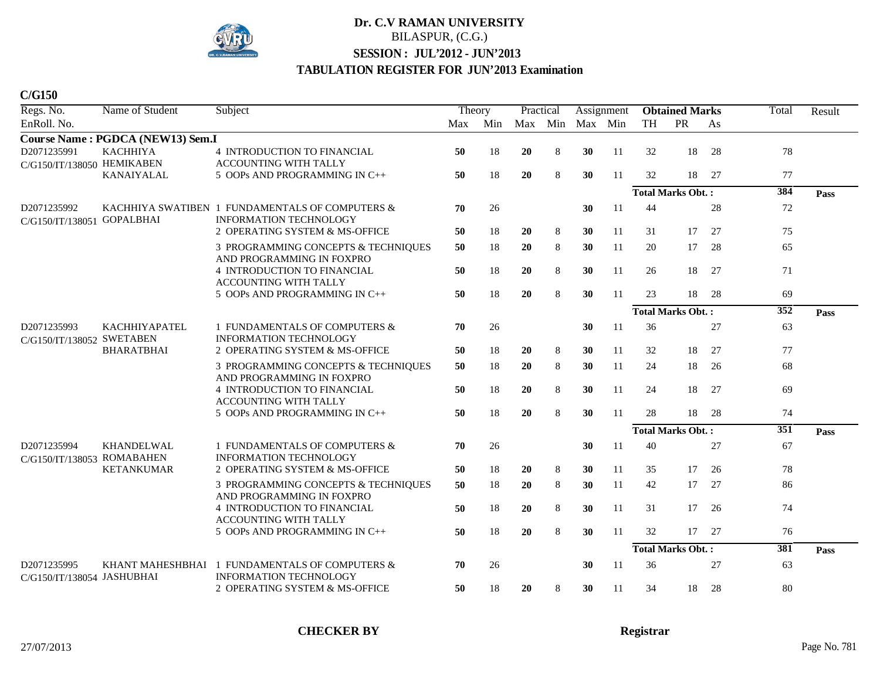

| C/G150 |  |
|--------|--|
|--------|--|

| Regs. No.                                 | Name of Student                  | Subject                                                                   | Theory |     | Practical |         |                 | Assignment    |           | <b>Obtained Marks</b>    |     | Total            | Result |
|-------------------------------------------|----------------------------------|---------------------------------------------------------------------------|--------|-----|-----------|---------|-----------------|---------------|-----------|--------------------------|-----|------------------|--------|
| EnRoll. No.                               |                                  |                                                                           | Max    | Min |           |         | Max Min Max Min |               | <b>TH</b> | PR                       | As  |                  |        |
|                                           | Course Name: PGDCA (NEW13) Sem.I |                                                                           |        |     |           |         |                 |               |           |                          |     |                  |        |
| D2071235991                               | <b>KACHHIYA</b>                  | <b>4 INTRODUCTION TO FINANCIAL</b>                                        | 50     | 18  | 20        | $\,8\,$ | 30              | 11            | 32        | 18                       | 28  | 78               |        |
| C/G150/IT/138050 HEMIKABEN                |                                  | ACCOUNTING WITH TALLY                                                     |        |     |           |         |                 |               |           |                          |     |                  |        |
|                                           | KANAIYALAL                       | 5 OOPs AND PROGRAMMING IN C++                                             | 50     | 18  | 20        | 8       | 30              | 11            | 32        | 18                       | 27  | 77               |        |
|                                           |                                  |                                                                           |        |     |           |         |                 |               |           | <b>Total Marks Obt.:</b> |     | 384              | Pass   |
| D2071235992<br>C/G150/IT/138051           | <b>GOPALBHAI</b>                 | KACHHIYA SWATIBEN 1 FUNDAMENTALS OF COMPUTERS &<br>INFORMATION TECHNOLOGY | 70     | 26  |           |         | 30              | 11            | 44        |                          | 28  | 72               |        |
|                                           |                                  | 2 OPERATING SYSTEM & MS-OFFICE                                            | 50     | 18  | 20        | 8       | 30              | 11            | 31        | 17                       | 27  | 75               |        |
|                                           |                                  | 3 PROGRAMMING CONCEPTS & TECHNIQUES<br>AND PROGRAMMING IN FOXPRO          | 50     | 18  | 20        | $8\,$   | 30              | 11            | 20        | 17                       | 28  | 65               |        |
|                                           |                                  | 4 INTRODUCTION TO FINANCIAL<br><b>ACCOUNTING WITH TALLY</b>               | 50     | 18  | 20        | $\,8\,$ | 30              | 11            | 26        | 18                       | 27  | 71               |        |
|                                           |                                  | 5 OOPs AND PROGRAMMING IN C++                                             | 50     | 18  | 20        | $8\,$   | 30              | 11            | 23        | 18                       | 28  | 69               |        |
|                                           |                                  |                                                                           |        |     |           |         |                 |               |           | <b>Total Marks Obt.:</b> |     | $\overline{352}$ | Pass   |
| D2071235993<br>C/G150/IT/138052 SWETABEN  | <b>KACHHIYAPATEL</b>             | 1 FUNDAMENTALS OF COMPUTERS &<br><b>INFORMATION TECHNOLOGY</b>            | 70     | 26  |           |         | 30              | 11            | 36        |                          | 27  | 63               |        |
|                                           | <b>BHARATBHAI</b>                | 2 OPERATING SYSTEM & MS-OFFICE                                            | 50     | 18  | 20        | 8       | 30              | 11            | 32        | 18                       | 27  | 77               |        |
|                                           |                                  | 3 PROGRAMMING CONCEPTS & TECHNIQUES<br>AND PROGRAMMING IN FOXPRO          | 50     | 18  | 20        | $\,8\,$ | 30              | 11            | 24        | 18                       | 26  | 68               |        |
|                                           |                                  | 4 INTRODUCTION TO FINANCIAL<br>ACCOUNTING WITH TALLY                      | 50     | 18  | 20        | 8       | 30              | 11            | 24        | 18                       | 27  | 69               |        |
|                                           |                                  | 5 OOPs AND PROGRAMMING IN C++                                             | 50     | 18  | 20        | 8       | 30              | 11            | 28        | 18                       | -28 | 74               |        |
|                                           |                                  |                                                                           |        |     |           |         |                 |               |           | <b>Total Marks Obt.:</b> |     | $\overline{351}$ | Pass   |
| D2071235994<br>C/G150/IT/138053 ROMABAHEN | <b>KHANDELWAL</b>                | 1 FUNDAMENTALS OF COMPUTERS &<br><b>INFORMATION TECHNOLOGY</b>            | 70     | 26  |           |         | 30              | 11            | 40        |                          | 27  | 67               |        |
|                                           | <b>KETANKUMAR</b>                | 2 OPERATING SYSTEM & MS-OFFICE                                            | 50     | 18  | 20        | 8       | 30              | 11            | 35        | 17                       | 26  | 78               |        |
|                                           |                                  | 3 PROGRAMMING CONCEPTS & TECHNIQUES<br>AND PROGRAMMING IN FOXPRO          | 50     | 18  | 20        | 8       | 30              | 11            | 42        | 17                       | 27  | 86               |        |
|                                           |                                  | 4 INTRODUCTION TO FINANCIAL<br><b>ACCOUNTING WITH TALLY</b>               | 50     | 18  | 20        | 8       | 30              | <sup>11</sup> | 31        | 17                       | 26  | 74               |        |
|                                           |                                  | 5 OOPs AND PROGRAMMING IN C++                                             | 50     | 18  | 20        | 8       | 30              | 11            | 32        | 17                       | 27  | 76               |        |
|                                           |                                  |                                                                           |        |     |           |         |                 |               |           | <b>Total Marks Obt.:</b> |     | 381              | Pass   |
| D2071235995<br>C/G150/IT/138054 JASHUBHAI | KHANT MAHESHBHAI                 | 1 FUNDAMENTALS OF COMPUTERS &<br><b>INFORMATION TECHNOLOGY</b>            | 70     | 26  |           |         | 30              | 11            | 36        |                          | 27  | 63               |        |
|                                           |                                  | 2 OPERATING SYSTEM & MS-OFFICE                                            | 50     | 18  | 20        | 8       | 30              | 11            | 34        | 18                       | 28  | 80               |        |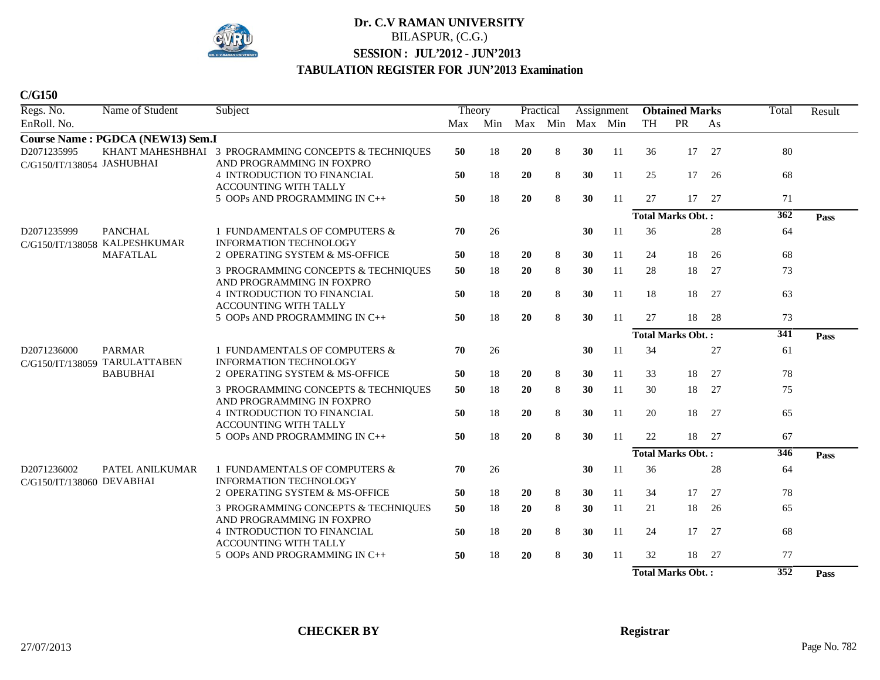

| Regs. No.                                 | Name of Student                                | Subject                                                                           | Theory |     | Practical |         |    | Assignment |           | <b>Obtained Marks</b>    |       | Total | Result |
|-------------------------------------------|------------------------------------------------|-----------------------------------------------------------------------------------|--------|-----|-----------|---------|----|------------|-----------|--------------------------|-------|-------|--------|
| EnRoll. No.                               |                                                |                                                                                   | Max    | Min | Max Min   |         |    | Max Min    | <b>TH</b> | PR                       | As    |       |        |
|                                           | Course Name: PGDCA (NEW13) Sem.I               |                                                                                   |        |     |           |         |    |            |           |                          |       |       |        |
| D2071235995<br>C/G150/IT/138054 JASHUBHAI |                                                | KHANT MAHESHBHAI 3 PROGRAMMING CONCEPTS & TECHNIQUES<br>AND PROGRAMMING IN FOXPRO | 50     | 18  | 20        | 8       | 30 | 11         | 36        | 17                       | 27    | 80    |        |
|                                           |                                                | 4 INTRODUCTION TO FINANCIAL<br>ACCOUNTING WITH TALLY                              | 50     | 18  | 20        | 8       | 30 | 11         | 25        | 17                       | 26    | 68    |        |
|                                           |                                                | 5 OOPs AND PROGRAMMING IN C++                                                     | 50     | 18  | 20        | $\,8\,$ | 30 | 11         | 27        |                          | 17 27 | 71    |        |
|                                           |                                                |                                                                                   |        |     |           |         |    |            |           | <b>Total Marks Obt.:</b> |       | 362   | Pass   |
| D2071235999<br>C/G150/IT/138058           | <b>PANCHAL</b><br><b>KALPESHKUMAR</b>          | 1 FUNDAMENTALS OF COMPUTERS &<br><b>INFORMATION TECHNOLOGY</b>                    | 70     | 26  |           |         | 30 | 11         | 36        |                          | 28    | 64    |        |
|                                           | <b>MAFATLAL</b>                                | 2 OPERATING SYSTEM & MS-OFFICE                                                    | 50     | 18  | 20        | 8       | 30 | 11         | 24        | 18                       | 26    | 68    |        |
|                                           |                                                | 3 PROGRAMMING CONCEPTS & TECHNIQUES<br>AND PROGRAMMING IN FOXPRO                  | 50     | 18  | 20        | 8       | 30 | 11         | 28        | 18                       | 27    | 73    |        |
|                                           |                                                | 4 INTRODUCTION TO FINANCIAL<br>ACCOUNTING WITH TALLY                              | 50     | 18  | 20        | $\,8\,$ | 30 | 11         | 18        | 18                       | 27    | 63    |        |
|                                           |                                                | 5 OOPs AND PROGRAMMING IN C++                                                     | 50     | 18  | 20        | 8       | 30 | 11         | 27        | 18                       | 28    | 73    |        |
|                                           |                                                |                                                                                   |        |     |           |         |    |            |           | <b>Total Marks Obt.:</b> |       | 341   | Pass   |
| D2071236000                               | <b>PARMAR</b><br>C/G150/IT/138059 TARULATTABEN | 1 FUNDAMENTALS OF COMPUTERS &<br><b>INFORMATION TECHNOLOGY</b>                    | 70     | 26  |           |         | 30 | 11         | 34        |                          | 27    | 61    |        |
|                                           | <b>BABUBHAI</b>                                | 2 OPERATING SYSTEM & MS-OFFICE                                                    | 50     | 18  | <b>20</b> | 8       | 30 | 11         | 33        | 18                       | 27    | 78    |        |
|                                           |                                                | 3 PROGRAMMING CONCEPTS & TECHNIQUES<br>AND PROGRAMMING IN FOXPRO                  | 50     | 18  | 20        | 8       | 30 | 11         | 30        | 18                       | 27    | 75    |        |
|                                           |                                                | <b>4 INTRODUCTION TO FINANCIAL</b><br><b>ACCOUNTING WITH TALLY</b>                | 50     | 18  | 20        | 8       | 30 | 11         | 20        | 18                       | 27    | 65    |        |
|                                           |                                                | 5 OOPs AND PROGRAMMING IN C++                                                     | 50     | 18  | 20        | 8       | 30 | 11         | 22        | 18                       | 27    | 67    |        |
|                                           |                                                |                                                                                   |        |     |           |         |    |            |           | <b>Total Marks Obt.:</b> |       | 346   | Pass   |
| D2071236002<br>C/G150/IT/138060 DEVABHAI  | PATEL ANILKUMAR                                | 1 FUNDAMENTALS OF COMPUTERS &<br><b>INFORMATION TECHNOLOGY</b>                    | 70     | 26  |           |         | 30 | 11         | 36        |                          | 28    | 64    |        |
|                                           |                                                | 2 OPERATING SYSTEM & MS-OFFICE                                                    | 50     | 18  | 20        | 8       | 30 | 11         | 34        | 17                       | 27    | 78    |        |
|                                           |                                                | 3 PROGRAMMING CONCEPTS & TECHNIQUES<br>AND PROGRAMMING IN FOXPRO                  | 50     | 18  | 20        | 8       | 30 | 11         | 21        | 18                       | 26    | 65    |        |
|                                           |                                                | 4 INTRODUCTION TO FINANCIAL<br>ACCOUNTING WITH TALLY                              | 50     | 18  | 20        | 8       | 30 | 11         | 24        | 17                       | 27    | 68    |        |
|                                           |                                                | 5 OOPs AND PROGRAMMING IN C++                                                     | 50     | 18  | 20        | 8       | 30 | 11         | 32        |                          | 18 27 | 77    |        |
|                                           |                                                |                                                                                   |        |     |           |         |    |            |           | <b>Total Marks Obt.:</b> |       | 352   | Pass   |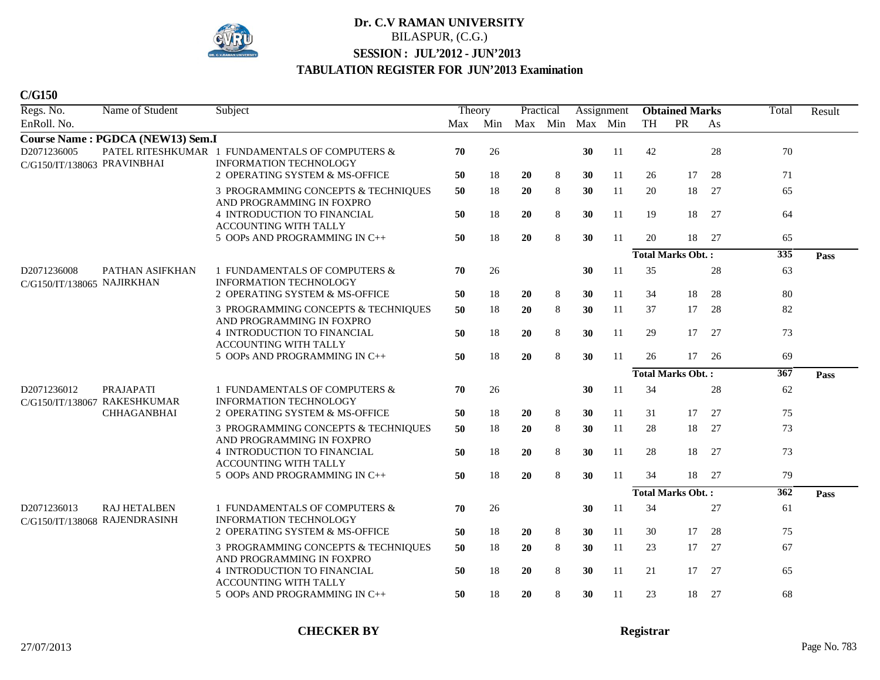

| Regs. No.                                  | Name of Student                                      | Subject                                                                          |     | Theory |     | Practical |         | Assignment |           | <b>Obtained Marks</b>    |    | Total | Result |
|--------------------------------------------|------------------------------------------------------|----------------------------------------------------------------------------------|-----|--------|-----|-----------|---------|------------|-----------|--------------------------|----|-------|--------|
| EnRoll. No.                                |                                                      |                                                                                  | Max | Min    | Max | Min       | Max Min |            | <b>TH</b> | PR                       | As |       |        |
|                                            | Course Name: PGDCA (NEW13) Sem.I                     |                                                                                  |     |        |     |           |         |            |           |                          |    |       |        |
| D2071236005<br>C/G150/IT/138063 PRAVINBHAI |                                                      | PATEL RITESHKUMAR 1 FUNDAMENTALS OF COMPUTERS &<br><b>INFORMATION TECHNOLOGY</b> | 70  | 26     |     |           | 30      | 11         | 42        |                          | 28 | 70    |        |
|                                            |                                                      | 2 OPERATING SYSTEM & MS-OFFICE                                                   | 50  | 18     | 20  | 8         | 30      | 11         | 26        | 17                       | 28 | 71    |        |
|                                            |                                                      | 3 PROGRAMMING CONCEPTS & TECHNIQUES<br>AND PROGRAMMING IN FOXPRO                 | 50  | 18     | 20  | 8         | 30      | 11         | 20        | 18                       | 27 | 65    |        |
|                                            |                                                      | <b>4 INTRODUCTION TO FINANCIAL</b><br>ACCOUNTING WITH TALLY                      | 50  | 18     | 20  | 8         | 30      | 11         | 19        | 18                       | 27 | 64    |        |
|                                            |                                                      | 5 OOPs AND PROGRAMMING IN C++                                                    | 50  | 18     | 20  | 8         | 30      | 11         | 20        | 18                       | 27 | 65    |        |
|                                            |                                                      |                                                                                  |     |        |     |           |         |            |           | <b>Total Marks Obt.:</b> |    | 335   | Pass   |
| D2071236008<br>C/G150/IT/138065 NAJIRKHAN  | PATHAN ASIFKHAN                                      | 1 FUNDAMENTALS OF COMPUTERS &<br><b>INFORMATION TECHNOLOGY</b>                   | 70  | 26     |     |           | 30      | 11         | 35        |                          | 28 | 63    |        |
|                                            |                                                      | 2 OPERATING SYSTEM & MS-OFFICE                                                   | 50  | 18     | 20  | 8         | 30      | 11         | 34        | 18                       | 28 | 80    |        |
|                                            |                                                      | 3 PROGRAMMING CONCEPTS & TECHNIQUES<br>AND PROGRAMMING IN FOXPRO                 | 50  | 18     | 20  | 8         | 30      | 11         | 37        | 17                       | 28 | 82    |        |
|                                            |                                                      | 4 INTRODUCTION TO FINANCIAL<br><b>ACCOUNTING WITH TALLY</b>                      | 50  | 18     | 20  | 8         | 30      | 11         | 29        | 17                       | 27 | 73    |        |
|                                            |                                                      | 5 OOPs AND PROGRAMMING IN C++                                                    | 50  | 18     | 20  | 8         | 30      | 11         | 26        | 17                       | 26 | 69    |        |
|                                            |                                                      |                                                                                  |     |        |     |           |         |            |           | <b>Total Marks Obt.:</b> |    | 367   | Pass   |
| D2071236012                                | PRAJAPATI<br>C/G150/IT/138067 RAKESHKUMAR            | 1 FUNDAMENTALS OF COMPUTERS &<br><b>INFORMATION TECHNOLOGY</b>                   | 70  | 26     |     |           | 30      | 11         | 34        |                          | 28 | 62    |        |
|                                            | <b>CHHAGANBHAI</b>                                   | 2 OPERATING SYSTEM & MS-OFFICE                                                   | 50  | 18     | 20  | 8         | 30      | 11         | 31        | 17                       | 27 | 75    |        |
|                                            |                                                      | 3 PROGRAMMING CONCEPTS & TECHNIQUES<br>AND PROGRAMMING IN FOXPRO                 | 50  | 18     | 20  | 8         | 30      | 11         | 28        | 18                       | 27 | 73    |        |
|                                            |                                                      | 4 INTRODUCTION TO FINANCIAL<br><b>ACCOUNTING WITH TALLY</b>                      | 50  | 18     | 20  | $\,8\,$   | 30      | 11         | 28        | 18                       | 27 | 73    |        |
|                                            |                                                      | 5 OOPs AND PROGRAMMING IN C++                                                    | 50  | 18     | 20  | 8         | 30      | 11         | 34        | 18                       | 27 | 79    |        |
|                                            |                                                      |                                                                                  |     |        |     |           |         |            |           | <b>Total Marks Obt.:</b> |    | 362   | Pass   |
| D2071236013                                | <b>RAJ HETALBEN</b><br>C/G150/IT/138068 RAJENDRASINH | 1 FUNDAMENTALS OF COMPUTERS &<br><b>INFORMATION TECHNOLOGY</b>                   | 70  | 26     |     |           | 30      | 11         | 34        |                          | 27 | 61    |        |
|                                            |                                                      | 2 OPERATING SYSTEM & MS-OFFICE                                                   | 50  | 18     | 20  | 8         | 30      | 11         | 30        | 17                       | 28 | 75    |        |
|                                            |                                                      | 3 PROGRAMMING CONCEPTS & TECHNIQUES<br>AND PROGRAMMING IN FOXPRO                 | 50  | 18     | 20  | 8         | 30      | 11         | 23        | 17                       | 27 | 67    |        |
|                                            |                                                      | <b>4 INTRODUCTION TO FINANCIAL</b><br><b>ACCOUNTING WITH TALLY</b>               | 50  | 18     | 20  | 8         | 30      | 11         | 21        | 17                       | 27 | 65    |        |
|                                            |                                                      | 5 OOPs AND PROGRAMMING IN C++                                                    | 50  | 18     | 20  | 8         | 30      | 11         | 23        | 18                       | 27 | 68    |        |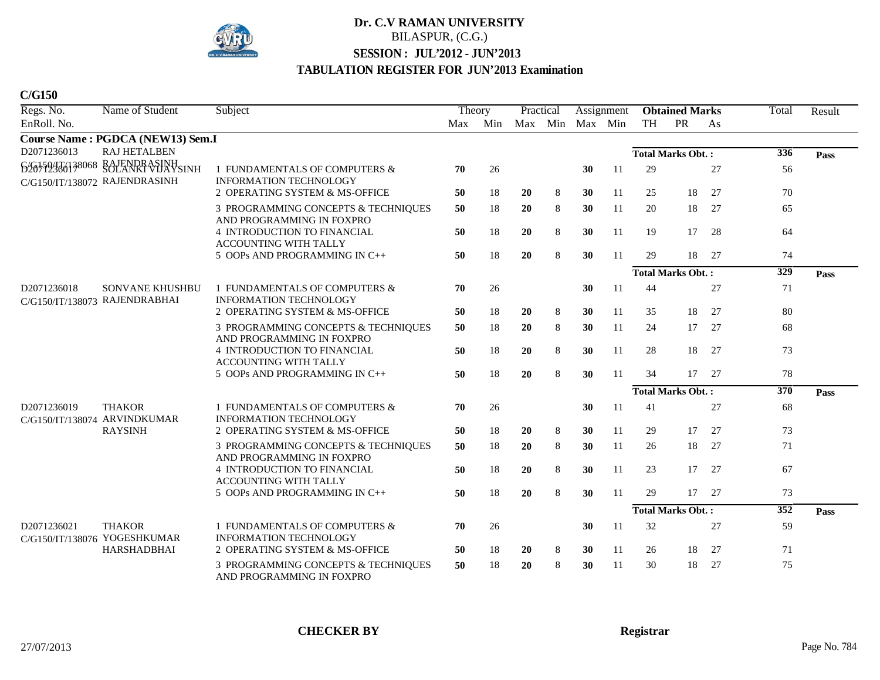

| Regs. No.                       | Name of Student                                         | Subject                                                          | Theory |                         | Practical |         |    | Assignment    |    | <b>Obtained Marks</b>    |        | Total            | Result |
|---------------------------------|---------------------------------------------------------|------------------------------------------------------------------|--------|-------------------------|-----------|---------|----|---------------|----|--------------------------|--------|------------------|--------|
| EnRoll. No.                     |                                                         |                                                                  |        | Max Min Max Min Max Min |           |         |    |               | TH | PR                       | As     |                  |        |
|                                 | Course Name: PGDCA (NEW13) Sem.I                        |                                                                  |        |                         |           |         |    |               |    |                          |        |                  |        |
| D2071236013                     | <b>RAJ HETALBEN</b>                                     |                                                                  |        |                         |           |         |    |               |    | <b>Total Marks Obt.:</b> |        | 336              | Pass   |
| 626459476138068                 | RAJENDRASINH<br>SOLANKI VIJAYSINH                       | 1 FUNDAMENTALS OF COMPUTERS &                                    | 70     | 26                      |           |         | 30 | -11           | 29 |                          | 27     | 56               |        |
|                                 | C/G150/IT/138072 RAJENDRASINH                           | <b>INFORMATION TECHNOLOGY</b><br>2 OPERATING SYSTEM & MS-OFFICE  | 50     | 18                      | <b>20</b> | 8       | 30 | 11            | 25 | 18                       | 27     | 70               |        |
|                                 |                                                         | 3 PROGRAMMING CONCEPTS & TECHNIQUES                              | 50     | 18                      | 20        | 8       | 30 | 11            | 20 | 18                       | 27     | 65               |        |
|                                 |                                                         | AND PROGRAMMING IN FOXPRO                                        |        |                         |           |         |    |               |    |                          |        |                  |        |
|                                 |                                                         | 4 INTRODUCTION TO FINANCIAL<br>ACCOUNTING WITH TALLY             | 50     | 18                      | 20        | 8       | 30 | 11            | 19 | 17                       | 28     | 64               |        |
|                                 |                                                         | 5 OOPs AND PROGRAMMING IN C++                                    | 50     | 18                      | 20        | 8       | 30 | 11            | 29 | 18                       | 27     | 74               |        |
|                                 |                                                         |                                                                  |        |                         |           |         |    |               |    | <b>Total Marks Obt.:</b> |        | 329              | Pass   |
| D2071236018                     | <b>SONVANE KHUSHBU</b><br>C/G150/IT/138073 RAJENDRABHAI | 1 FUNDAMENTALS OF COMPUTERS &<br><b>INFORMATION TECHNOLOGY</b>   | 70     | 26                      |           |         | 30 | 11            | 44 |                          | 27     | 71               |        |
|                                 |                                                         | 2 OPERATING SYSTEM & MS-OFFICE                                   | 50     | 18                      | <b>20</b> | 8       | 30 | 11            | 35 | 18                       | 27     | 80               |        |
|                                 |                                                         | 3 PROGRAMMING CONCEPTS & TECHNIQUES<br>AND PROGRAMMING IN FOXPRO | 50     | 18                      | 20        | 8       | 30 | 11            | 24 | 17                       | 27     | 68               |        |
|                                 |                                                         | <b>4 INTRODUCTION TO FINANCIAL</b>                               | 50     | 18                      | 20        | 8       | 30 | 11            | 28 | 18                       | 27     | 73               |        |
|                                 |                                                         | <b>ACCOUNTING WITH TALLY</b><br>5 OOPs AND PROGRAMMING IN C++    | 50     | 18                      | 20        | 8       | 30 | 11            | 34 | 17                       | 27     | 78               |        |
|                                 |                                                         |                                                                  |        |                         |           |         |    |               |    | <b>Total Marks Obt.:</b> |        | 370              | Pass   |
| D2071236019<br>C/G150/IT/138074 | <b>THAKOR</b><br>ARVINDKUMAR                            | 1 FUNDAMENTALS OF COMPUTERS &<br><b>INFORMATION TECHNOLOGY</b>   | 70     | 26                      |           |         | 30 | <sup>11</sup> | 41 |                          | $27\,$ | 68               |        |
|                                 | <b>RAYSINH</b>                                          | 2 OPERATING SYSTEM & MS-OFFICE                                   | 50     | 18                      | 20        | 8       | 30 | 11            | 29 | 17                       | 27     | 73               |        |
|                                 |                                                         | 3 PROGRAMMING CONCEPTS & TECHNIQUES<br>AND PROGRAMMING IN FOXPRO | 50     | 18                      | 20        | 8       | 30 | 11            | 26 | 18                       | 27     | 71               |        |
|                                 |                                                         | 4 INTRODUCTION TO FINANCIAL<br><b>ACCOUNTING WITH TALLY</b>      | 50     | 18                      | 20        | 8       | 30 | 11            | 23 | 17                       | 27     | 67               |        |
|                                 |                                                         | 5 OOPs AND PROGRAMMING IN C++                                    | 50     | 18                      | 20        | $\,8\,$ | 30 | 11            | 29 | 17                       | 27     | 73               |        |
|                                 |                                                         |                                                                  |        |                         |           |         |    |               |    | <b>Total Marks Obt.:</b> |        | $\overline{352}$ | Pass   |
| D2071236021<br>C/G150/IT/138076 | <b>THAKOR</b><br>YOGESHKUMAR                            | 1 FUNDAMENTALS OF COMPUTERS &<br><b>INFORMATION TECHNOLOGY</b>   | 70     | 26                      |           |         | 30 | 11            | 32 |                          | 27     | 59               |        |
|                                 | <b>HARSHADBHAI</b>                                      | 2 OPERATING SYSTEM & MS-OFFICE                                   | 50     | 18                      | <b>20</b> | 8       | 30 | 11            | 26 | 18                       | 27     | 71               |        |
|                                 |                                                         | 3 PROGRAMMING CONCEPTS & TECHNIQUES<br>AND PROGRAMMING IN FOXPRO | 50     | 18                      | 20        | 8       | 30 | 11            | 30 | 18                       | 27     | 75               |        |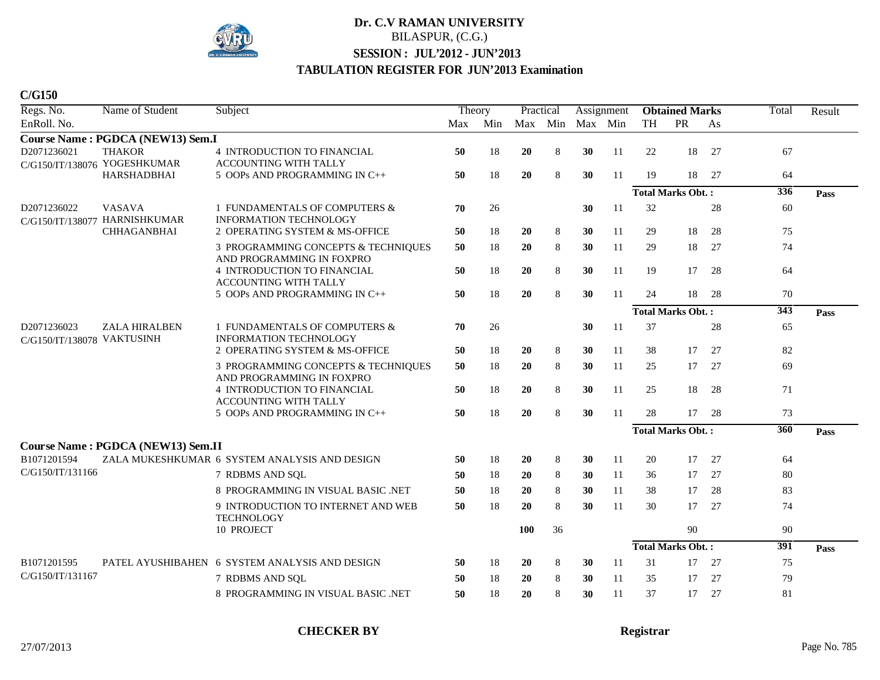

**C/G150**

| Regs. No.                                 | Name of Student                                    | Subject                                                          | Theory |     | Practical  |     |         | Assignment    |           | <b>Obtained Marks</b>    |    | Total | Result |
|-------------------------------------------|----------------------------------------------------|------------------------------------------------------------------|--------|-----|------------|-----|---------|---------------|-----------|--------------------------|----|-------|--------|
| EnRoll. No.                               |                                                    |                                                                  | Max    | Min | Max        | Min | Max Min |               | <b>TH</b> | PR                       | As |       |        |
|                                           | Course Name: PGDCA (NEW13) Sem.I                   |                                                                  |        |     |            |     |         |               |           |                          |    |       |        |
| D2071236021                               | <b>THAKOR</b>                                      | 4 INTRODUCTION TO FINANCIAL<br><b>ACCOUNTING WITH TALLY</b>      | 50     | 18  | 20         | 8   | 30      | 11            | 22        | 18                       | 27 | 67    |        |
|                                           | C/G150/IT/138076 YOGESHKUMAR<br><b>HARSHADBHAI</b> | 5 OOPs AND PROGRAMMING IN C++                                    | 50     | 18  | 20         | 8   | 30      | 11            | 19        | 18                       | 27 | 64    |        |
|                                           |                                                    |                                                                  |        |     |            |     |         |               |           | <b>Total Marks Obt.:</b> |    | 336   | Pass   |
| D2071236022<br>C/G150/IT/138077           | <b>VASAVA</b><br><b>HARNISHKUMAR</b>               | 1 FUNDAMENTALS OF COMPUTERS &<br><b>INFORMATION TECHNOLOGY</b>   | 70     | 26  |            |     | 30      | 11            | 32        |                          | 28 | 60    |        |
|                                           | <b>CHHAGANBHAI</b>                                 | 2 OPERATING SYSTEM & MS-OFFICE                                   | 50     | 18  | 20         | 8   | 30      | 11            | 29        | 18                       | 28 | 75    |        |
|                                           |                                                    | 3 PROGRAMMING CONCEPTS & TECHNIQUES<br>AND PROGRAMMING IN FOXPRO | 50     | 18  | 20         | 8   | 30      | 11            | 29        | 18                       | 27 | 74    |        |
|                                           |                                                    | 4 INTRODUCTION TO FINANCIAL<br>ACCOUNTING WITH TALLY             | 50     | 18  | 20         | 8   | 30      | 11            | 19        | 17                       | 28 | 64    |        |
|                                           |                                                    | 5 OOPs AND PROGRAMMING IN C++                                    | 50     | 18  | 20         | 8   | 30      | 11            | 24        | 18                       | 28 | 70    |        |
|                                           |                                                    |                                                                  |        |     |            |     |         |               |           | <b>Total Marks Obt.:</b> |    | 343   | Pass   |
| D2071236023<br>C/G150/IT/138078 VAKTUSINH | <b>ZALA HIRALBEN</b>                               | 1 FUNDAMENTALS OF COMPUTERS &<br><b>INFORMATION TECHNOLOGY</b>   | 70     | 26  |            |     | 30      | <sup>11</sup> | 37        |                          | 28 | 65    |        |
|                                           |                                                    | 2 OPERATING SYSTEM & MS-OFFICE                                   | 50     | 18  | <b>20</b>  | 8   | 30      | 11            | 38        | 17                       | 27 | 82    |        |
|                                           |                                                    | 3 PROGRAMMING CONCEPTS & TECHNIQUES<br>AND PROGRAMMING IN FOXPRO | 50     | 18  | 20         | 8   | 30      | 11            | 25        | 17                       | 27 | 69    |        |
|                                           |                                                    | 4 INTRODUCTION TO FINANCIAL<br><b>ACCOUNTING WITH TALLY</b>      | 50     | 18  | 20         | 8   | 30      | 11            | 25        | 18                       | 28 | 71    |        |
|                                           |                                                    | 5 OOPs AND PROGRAMMING IN C++                                    | 50     | 18  | 20         | 8   | 30      | 11            | 28        | 17                       | 28 | 73    |        |
|                                           |                                                    |                                                                  |        |     |            |     |         |               |           | <b>Total Marks Obt.:</b> |    | 360   | Pass   |
|                                           | <b>Course Name: PGDCA (NEW13) Sem.II</b>           |                                                                  |        |     |            |     |         |               |           |                          |    |       |        |
| B1071201594                               |                                                    | ZALA MUKESHKUMAR 6 SYSTEM ANALYSIS AND DESIGN                    | 50     | 18  | 20         | 8   | 30      | 11            | 20        | 17                       | 27 | 64    |        |
| C/G150/IT/131166                          |                                                    | 7 RDBMS AND SQL                                                  | 50     | 18  | 20         | 8   | 30      | 11            | 36        | 17                       | 27 | 80    |        |
|                                           |                                                    | 8 PROGRAMMING IN VISUAL BASIC .NET                               | 50     | 18  | 20         | 8   | 30      | 11            | 38        | 17                       | 28 | 83    |        |
|                                           |                                                    | 9 INTRODUCTION TO INTERNET AND WEB<br><b>TECHNOLOGY</b>          | 50     | 18  | 20         | 8   | 30      | 11            | 30        | 17                       | 27 | 74    |        |
|                                           |                                                    | 10 PROJECT                                                       |        |     | <b>100</b> | 36  |         |               |           | 90                       |    | 90    |        |
|                                           |                                                    |                                                                  |        |     |            |     |         |               |           | <b>Total Marks Obt.:</b> |    | 391   | Pass   |
| B1071201595                               |                                                    | PATEL AYUSHIBAHEN 6 SYSTEM ANALYSIS AND DESIGN                   | 50     | 18  | 20         | 8   | 30      | 11            | 31        | 17                       | 27 | 75    |        |
| C/G150/IT/131167                          |                                                    | 7 RDBMS AND SQL                                                  | 50     | 18  | 20         | 8   | 30      | -11           | 35        | 17                       | 27 | 79    |        |
|                                           |                                                    | 8 PROGRAMMING IN VISUAL BASIC .NET                               | 50     | 18  | 20         | 8   | 30      | 11            | 37        | 17                       | 27 | 81    |        |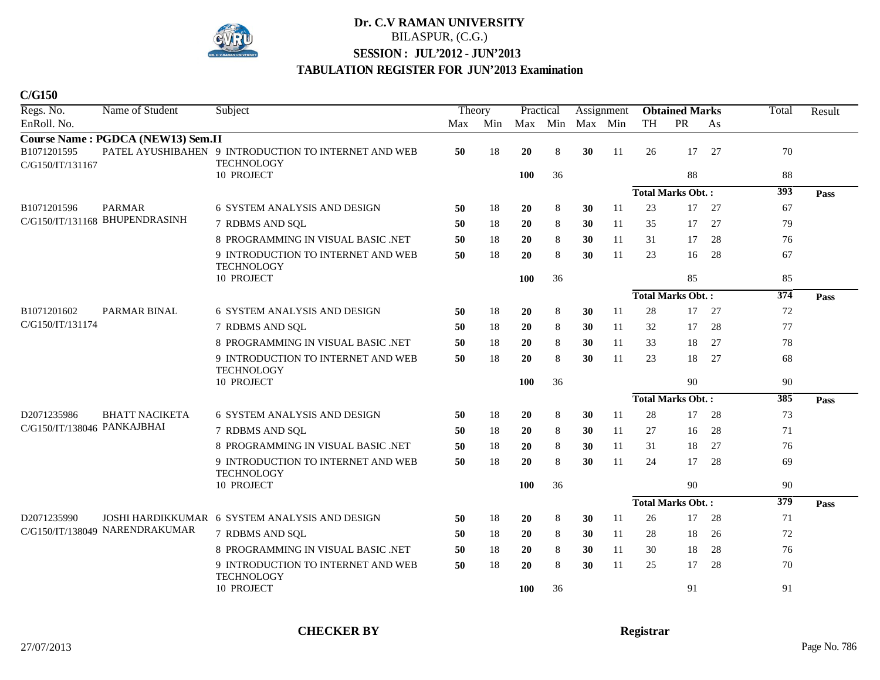

| Regs. No.                       | Name of Student                   | Subject                                                                   | Theory |     | Practical  |     |         | Assignment |    | <b>Obtained Marks</b>    |    | Total            | Result |
|---------------------------------|-----------------------------------|---------------------------------------------------------------------------|--------|-----|------------|-----|---------|------------|----|--------------------------|----|------------------|--------|
| EnRoll. No.                     |                                   |                                                                           | Max    | Min | Max        | Min | Max Min |            | TH | PR                       | As |                  |        |
|                                 | Course Name: PGDCA (NEW13) Sem.II |                                                                           |        |     |            |     |         |            |    |                          |    |                  |        |
| B1071201595<br>C/G150/IT/131167 |                                   | PATEL AYUSHIBAHEN 9 INTRODUCTION TO INTERNET AND WEB<br><b>TECHNOLOGY</b> | 50     | 18  | 20         | 8   | 30      | 11         | 26 | 17                       | 27 | 70               |        |
|                                 |                                   | 10 PROJECT                                                                |        |     | <b>100</b> | 36  |         |            |    | 88                       |    | 88               |        |
|                                 |                                   |                                                                           |        |     |            |     |         |            |    | <b>Total Marks Obt.:</b> |    | 393              | Pass   |
| B1071201596                     | <b>PARMAR</b>                     | 6 SYSTEM ANALYSIS AND DESIGN                                              | 50     | 18  | 20         | 8   | 30      | 11         | 23 | 17                       | 27 | 67               |        |
|                                 | C/G150/IT/131168 BHUPENDRASINH    | 7 RDBMS AND SQL                                                           | 50     | 18  | 20         | 8   | 30      | 11         | 35 | 17                       | 27 | 79               |        |
|                                 |                                   | 8 PROGRAMMING IN VISUAL BASIC .NET                                        | 50     | 18  | 20         | 8   | 30      | 11         | 31 | 17                       | 28 | 76               |        |
|                                 |                                   | 9 INTRODUCTION TO INTERNET AND WEB                                        | 50     | 18  | 20         | 8   | 30      | 11         | 23 | 16                       | 28 | 67               |        |
|                                 |                                   | <b>TECHNOLOGY</b>                                                         |        |     |            |     |         |            |    |                          |    |                  |        |
|                                 |                                   | 10 PROJECT                                                                |        |     | 100        | 36  |         |            |    | 85                       |    | 85               |        |
|                                 |                                   |                                                                           |        |     |            |     |         |            |    | <b>Total Marks Obt.:</b> |    | $\overline{374}$ | Pass   |
| B1071201602                     | PARMAR BINAL                      | <b>6 SYSTEM ANALYSIS AND DESIGN</b>                                       | 50     | 18  | 20         | 8   | 30      | 11         | 28 | 17                       | 27 | 72               |        |
| C/G150/IT/131174                |                                   | 7 RDBMS AND SOL                                                           | 50     | 18  | 20         | 8   | 30      | 11         | 32 | 17                       | 28 | 77               |        |
|                                 |                                   | 8 PROGRAMMING IN VISUAL BASIC .NET                                        | 50     | 18  | <b>20</b>  | 8   | 30      | 11         | 33 | 18                       | 27 | 78               |        |
|                                 |                                   | 9 INTRODUCTION TO INTERNET AND WEB<br><b>TECHNOLOGY</b>                   | 50     | 18  | 20         | 8   | 30      | 11         | 23 | 18                       | 27 | 68               |        |
|                                 |                                   | 10 PROJECT                                                                |        |     | 100        | 36  |         |            |    | 90                       |    | 90               |        |
|                                 |                                   |                                                                           |        |     |            |     |         |            |    | <b>Total Marks Obt.:</b> |    | 385              | Pass   |
| D2071235986                     | <b>BHATT NACIKETA</b>             | <b>6 SYSTEM ANALYSIS AND DESIGN</b>                                       | 50     | 18  | 20         | 8   | 30      | 11         | 28 | 17                       | 28 | 73               |        |
| C/G150/IT/138046 PANKAJBHAI     |                                   | 7 RDBMS AND SQL                                                           | 50     | 18  | 20         | 8   | 30      | 11         | 27 | 16                       | 28 | 71               |        |
|                                 |                                   | 8 PROGRAMMING IN VISUAL BASIC .NET                                        | 50     | 18  | 20         | 8   | 30      | 11         | 31 | 18                       | 27 | 76               |        |
|                                 |                                   | 9 INTRODUCTION TO INTERNET AND WEB<br><b>TECHNOLOGY</b>                   | 50     | 18  | 20         | 8   | 30      | 11         | 24 | 17                       | 28 | 69               |        |
|                                 |                                   | 10 PROJECT                                                                |        |     | 100        | 36  |         |            |    | 90                       |    | 90               |        |
|                                 |                                   |                                                                           |        |     |            |     |         |            |    | <b>Total Marks Obt.:</b> |    | 379              | Pass   |
| D2071235990                     |                                   | JOSHI HARDIKKUMAR 6 SYSTEM ANALYSIS AND DESIGN                            | 50     | 18  | 20         | 8   | 30      | 11         | 26 | 17                       | 28 | 71               |        |
|                                 | C/G150/IT/138049 NARENDRAKUMAR    | 7 RDBMS AND SQL                                                           | 50     | 18  | 20         | 8   | 30      | 11         | 28 | 18                       | 26 | 72               |        |
|                                 |                                   | 8 PROGRAMMING IN VISUAL BASIC .NET                                        | 50     | 18  | 20         | 8   | 30      | 11         | 30 | 18                       | 28 | 76               |        |
|                                 |                                   | 9 INTRODUCTION TO INTERNET AND WEB<br><b>TECHNOLOGY</b>                   | 50     | 18  | 20         | 8   | 30      | 11         | 25 | 17                       | 28 | 70               |        |
|                                 |                                   | 10 PROJECT                                                                |        |     | <b>100</b> | 36  |         |            |    | 91                       |    | 91               |        |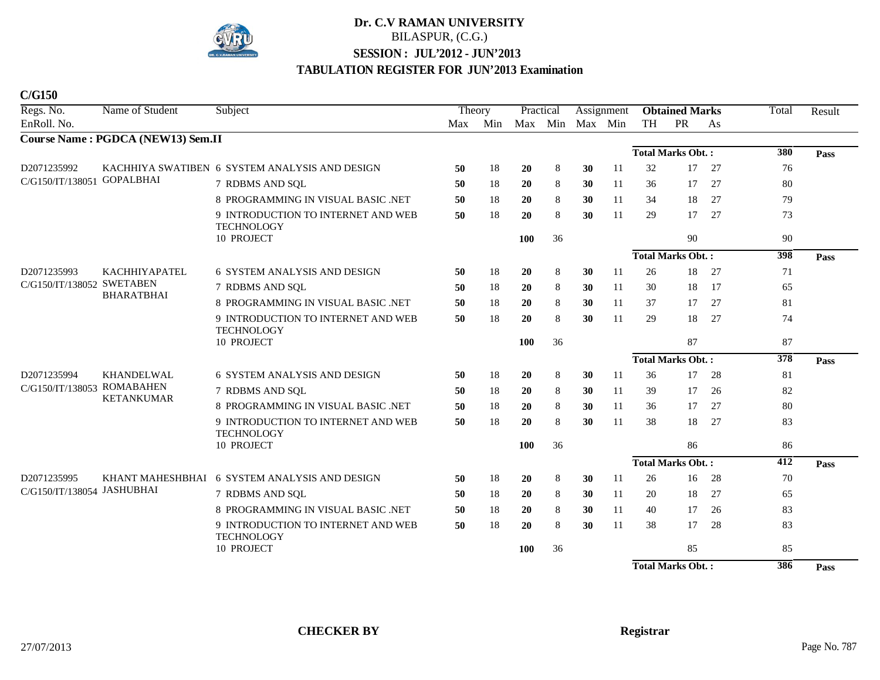

| Regs. No.                  | Name of Student                   | Subject                                                 | Theory |         | Practical  |                 |    | Assignment    |           | <b>Obtained Marks</b>    |    | Total            | Result |
|----------------------------|-----------------------------------|---------------------------------------------------------|--------|---------|------------|-----------------|----|---------------|-----------|--------------------------|----|------------------|--------|
| EnRoll. No.                |                                   |                                                         |        | Max Min |            | Max Min Max Min |    |               | <b>TH</b> | PR                       | As |                  |        |
|                            | Course Name: PGDCA (NEW13) Sem.II |                                                         |        |         |            |                 |    |               |           |                          |    |                  |        |
|                            |                                   |                                                         |        |         |            |                 |    |               |           | <b>Total Marks Obt.:</b> |    | 380              | Pass   |
| D2071235992                |                                   | KACHHIYA SWATIBEN 6 SYSTEM ANALYSIS AND DESIGN          | 50     | 18      | 20         | $\,8\,$         | 30 | 11            | 32        | 17                       | 27 | 76               |        |
| C/G150/IT/138051 GOPALBHAI |                                   | 7 RDBMS AND SQL                                         | 50     | 18      | 20         | 8               | 30 | 11            | 36        | 17                       | 27 | 80               |        |
|                            |                                   | 8 PROGRAMMING IN VISUAL BASIC .NET                      | 50     | 18      | 20         | $\,8\,$         | 30 | <sup>11</sup> | 34        | 18                       | 27 | 79               |        |
|                            |                                   | 9 INTRODUCTION TO INTERNET AND WEB<br><b>TECHNOLOGY</b> | 50     | 18      | <b>20</b>  | 8               | 30 | 11            | 29        | 17                       | 27 | 73               |        |
|                            |                                   | 10 PROJECT                                              |        |         | 100        | 36              |    |               |           | 90                       |    | 90               |        |
|                            |                                   |                                                         |        |         |            |                 |    |               |           | <b>Total Marks Obt.:</b> |    | 398              | Pass   |
| D2071235993                | <b>KACHHIYAPATEL</b>              | <b>6 SYSTEM ANALYSIS AND DESIGN</b>                     | 50     | 18      | 20         | 8               | 30 | 11            | 26        | 18                       | 27 | 71               |        |
| C/G150/IT/138052 SWETABEN  | <b>BHARATBHAI</b>                 | 7 RDBMS AND SQL                                         | 50     | 18      | 20         | 8               | 30 | <sup>11</sup> | 30        | 18                       | 17 | 65               |        |
|                            |                                   | 8 PROGRAMMING IN VISUAL BASIC .NET                      | 50     | 18      | 20         | 8               | 30 | 11            | 37        | 17                       | 27 | 81               |        |
|                            |                                   | 9 INTRODUCTION TO INTERNET AND WEB<br><b>TECHNOLOGY</b> | 50     | 18      | 20         | 8               | 30 | 11            | 29        | 18                       | 27 | 74               |        |
|                            |                                   | 10 PROJECT                                              |        |         | <b>100</b> | 36              |    |               |           | 87                       |    | 87               |        |
|                            |                                   |                                                         |        |         |            |                 |    |               |           | <b>Total Marks Obt.:</b> |    | $\overline{378}$ | Pass   |
| D2071235994                | KHANDELWAL                        | 6 SYSTEM ANALYSIS AND DESIGN                            | 50     | 18      | 20         | 8               | 30 | 11            | 36        | 17                       | 28 | 81               |        |
| C/G150/IT/138053           | <b>ROMABAHEN</b>                  | 7 RDBMS AND SQL                                         | 50     | 18      | 20         | $\,8\,$         | 30 | 11            | 39        | 17                       | 26 | 82               |        |
|                            | <b>KETANKUMAR</b>                 | 8 PROGRAMMING IN VISUAL BASIC .NET                      | 50     | 18      | <b>20</b>  | 8               | 30 | <sup>11</sup> | 36        | 17                       | 27 | 80               |        |
|                            |                                   | 9 INTRODUCTION TO INTERNET AND WEB<br><b>TECHNOLOGY</b> | 50     | 18      | 20         | 8               | 30 | 11            | 38        | 18                       | 27 | 83               |        |
|                            |                                   | 10 PROJECT                                              |        |         | 100        | 36              |    |               |           | 86                       |    | 86               |        |
|                            |                                   |                                                         |        |         |            |                 |    |               |           | <b>Total Marks Obt.:</b> |    | 412              | Pass   |
| D2071235995                |                                   | KHANT MAHESHBHAI 6 SYSTEM ANALYSIS AND DESIGN           | 50     | 18      | <b>20</b>  | 8               | 30 | 11            | 26        | 16                       | 28 | 70               |        |
| C/G150/IT/138054 JASHUBHAI |                                   | 7 RDBMS AND SQL                                         | 50     | 18      | <b>20</b>  | 8               | 30 | 11            | 20        | 18                       | 27 | 65               |        |
|                            |                                   | 8 PROGRAMMING IN VISUAL BASIC .NET                      | 50     | 18      | 20         | 8               | 30 | <sup>11</sup> | 40        | 17                       | 26 | 83               |        |
|                            |                                   | 9 INTRODUCTION TO INTERNET AND WEB<br><b>TECHNOLOGY</b> | 50     | 18      | 20         | $\,8\,$         | 30 | 11            | 38        | 17                       | 28 | 83               |        |
|                            |                                   | 10 PROJECT                                              |        |         | 100        | 36              |    |               |           | 85                       |    | 85               |        |
|                            |                                   |                                                         |        |         |            |                 |    |               |           | <b>Total Marks Obt.:</b> |    | 386              | Pass   |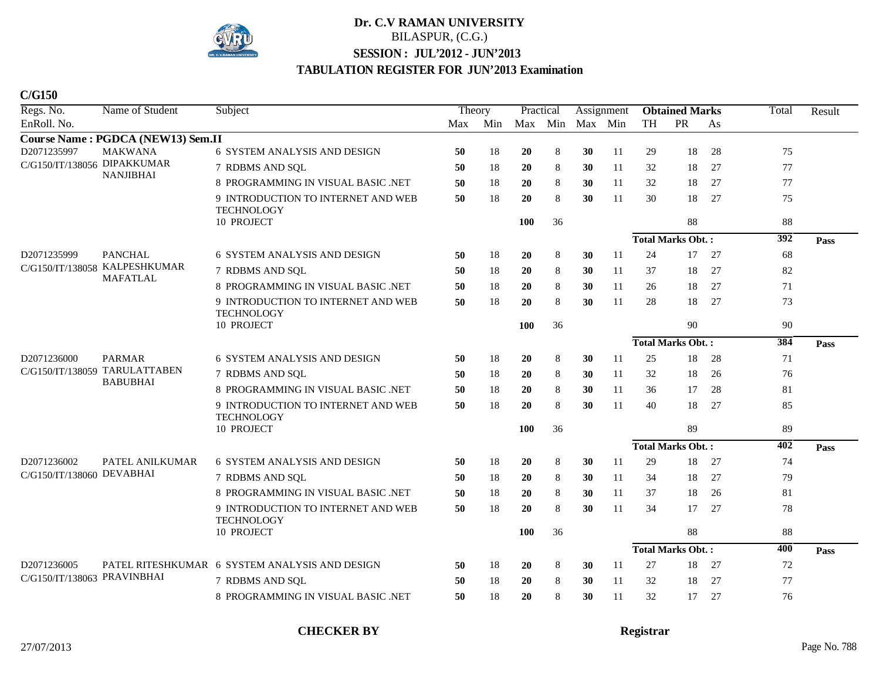

**C/G150**

| Regs. No.                   | Name of Student                   | Subject                                                 | Theory |     | Practical  |    |             | Assignment |           | <b>Obtained Marks</b>    |    | Total | Result |
|-----------------------------|-----------------------------------|---------------------------------------------------------|--------|-----|------------|----|-------------|------------|-----------|--------------------------|----|-------|--------|
| EnRoll. No.                 |                                   |                                                         | Max    | Min | Max        |    | Min Max Min |            | <b>TH</b> | <b>PR</b>                | As |       |        |
|                             | Course Name: PGDCA (NEW13) Sem.II |                                                         |        |     |            |    |             |            |           |                          |    |       |        |
| D2071235997                 | <b>MAKWANA</b>                    | 6 SYSTEM ANALYSIS AND DESIGN                            | 50     | 18  | 20         | 8  | 30          | 11         | 29        | 18                       | 28 | 75    |        |
| C/G150/IT/138056 DIPAKKUMAR | <b>NANJIBHAI</b>                  | 7 RDBMS AND SQL                                         | 50     | 18  | 20         | 8  | 30          | 11         | 32        | 18                       | 27 | 77    |        |
|                             |                                   | 8 PROGRAMMING IN VISUAL BASIC .NET                      | 50     | 18  | 20         | 8  | 30          | 11         | 32        | 18                       | 27 | 77    |        |
|                             |                                   | 9 INTRODUCTION TO INTERNET AND WEB<br><b>TECHNOLOGY</b> | 50     | 18  | 20         | 8  | 30          | 11         | 30        | 18                       | 27 | 75    |        |
|                             |                                   | 10 PROJECT                                              |        |     | 100        | 36 |             |            |           | 88                       |    | 88    |        |
|                             |                                   |                                                         |        |     |            |    |             |            |           | <b>Total Marks Obt.:</b> |    | 392   | Pass   |
| D2071235999                 | <b>PANCHAL</b>                    | <b>6 SYSTEM ANALYSIS AND DESIGN</b>                     | 50     | 18  | 20         | 8  | 30          | 11         | 24        | 17                       | 27 | 68    |        |
|                             | C/G150/IT/138058 KALPESHKUMAR     | 7 RDBMS AND SQL                                         | 50     | 18  | 20         | 8  | 30          | 11         | 37        | 18                       | 27 | 82    |        |
|                             | <b>MAFATLAL</b>                   | 8 PROGRAMMING IN VISUAL BASIC .NET                      | 50     | 18  | 20         | 8  | 30          | 11         | 26        | 18                       | 27 | 71    |        |
|                             |                                   | 9 INTRODUCTION TO INTERNET AND WEB<br><b>TECHNOLOGY</b> | 50     | 18  | 20         | 8  | 30          | 11         | 28        | 18                       | 27 | 73    |        |
|                             |                                   | 10 PROJECT                                              |        |     | 100        | 36 |             |            |           | 90                       |    | 90    |        |
|                             |                                   |                                                         |        |     |            |    |             |            |           | <b>Total Marks Obt.:</b> |    | 384   | Pass   |
| D2071236000                 | <b>PARMAR</b>                     | <b>6 SYSTEM ANALYSIS AND DESIGN</b>                     | 50     | 18  | 20         | 8  | 30          | 11         | 25        | 18                       | 28 | 71    |        |
|                             | C/G150/IT/138059 TARULATTABEN     | 7 RDBMS AND SQL                                         | 50     | 18  | 20         | 8  | 30          | 11         | 32        | 18                       | 26 | 76    |        |
|                             | <b>BABUBHAI</b>                   | 8 PROGRAMMING IN VISUAL BASIC .NET                      | 50     | 18  | 20         | 8  | 30          | 11         | 36        | 17                       | 28 | 81    |        |
|                             |                                   | 9 INTRODUCTION TO INTERNET AND WEB<br><b>TECHNOLOGY</b> | 50     | 18  | 20         | 8  | 30          | 11         | 40        | 18                       | 27 | 85    |        |
|                             |                                   | 10 PROJECT                                              |        |     | <b>100</b> | 36 |             |            |           | 89                       |    | 89    |        |
|                             |                                   |                                                         |        |     |            |    |             |            |           | <b>Total Marks Obt.:</b> |    | 402   | Pass   |
| D2071236002                 | PATEL ANILKUMAR                   | <b>6 SYSTEM ANALYSIS AND DESIGN</b>                     | 50     | 18  | 20         | 8  | 30          | 11         | 29        | 18                       | 27 | 74    |        |
| C/G150/IT/138060 DEVABHAI   |                                   | 7 RDBMS AND SQL                                         | 50     | 18  | 20         | 8  | 30          | 11         | 34        | 18                       | 27 | 79    |        |
|                             |                                   | 8 PROGRAMMING IN VISUAL BASIC .NET                      | 50     | 18  | 20         | 8  | 30          | 11         | 37        | 18                       | 26 | 81    |        |
|                             |                                   | 9 INTRODUCTION TO INTERNET AND WEB                      | 50     | 18  | 20         | 8  | 30          | 11         | 34        | 17                       | 27 | 78    |        |
|                             |                                   | <b>TECHNOLOGY</b><br>10 PROJECT                         |        |     | 100        | 36 |             |            |           | 88                       |    | 88    |        |
|                             |                                   |                                                         |        |     |            |    |             |            |           | <b>Total Marks Obt.:</b> |    | 400   | Pass   |
| D2071236005                 |                                   | PATEL RITESHKUMAR 6 SYSTEM ANALYSIS AND DESIGN          | 50     | 18  | 20         | 8  | 30          | 11         | 27        | 18                       | 27 | 72    |        |
| C/G150/IT/138063 PRAVINBHAI |                                   | 7 RDBMS AND SQL                                         | 50     | 18  | 20         | 8  | 30          | 11         | 32        | 18                       | 27 | 77    |        |
|                             |                                   | 8 PROGRAMMING IN VISUAL BASIC .NET                      | 50     | 18  | 20         | 8  | 30          | 11         | 32        | 17                       | 27 | 76    |        |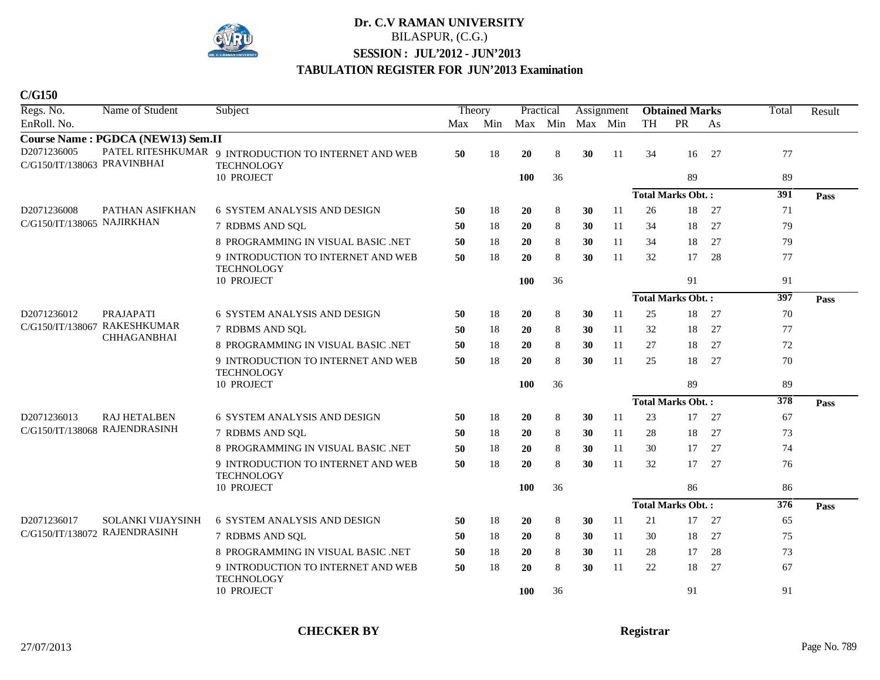

**C/G150**

| Regs. No.                                  | Name of Student                   | Subject                                                                   | Theory |         | Practical       |    |    | Assignment |           | <b>Obtained Marks</b>    |    | Total | Result |
|--------------------------------------------|-----------------------------------|---------------------------------------------------------------------------|--------|---------|-----------------|----|----|------------|-----------|--------------------------|----|-------|--------|
| EnRoll. No.                                |                                   |                                                                           |        | Max Min | Max Min Max Min |    |    |            | <b>TH</b> | PR                       | As |       |        |
|                                            | Course Name: PGDCA (NEW13) Sem.II |                                                                           |        |         |                 |    |    |            |           |                          |    |       |        |
| D2071236005<br>C/G150/IT/138063 PRAVINBHAI |                                   | PATEL RITESHKUMAR 9 INTRODUCTION TO INTERNET AND WEB<br><b>TECHNOLOGY</b> | 50     | 18      | 20              | 8  | 30 | 11         | 34        | 16                       | 27 | 77    |        |
|                                            |                                   | 10 PROJECT                                                                |        |         | 100             | 36 |    |            |           | 89                       |    | 89    |        |
|                                            |                                   |                                                                           |        |         |                 |    |    |            |           | <b>Total Marks Obt.:</b> |    | 391   | Pass   |
| D2071236008                                | PATHAN ASIFKHAN                   | 6 SYSTEM ANALYSIS AND DESIGN                                              | 50     | 18      | 20              | 8  | 30 | 11         | 26        | 18                       | 27 | 71    |        |
| C/G150/IT/138065 NAJIRKHAN                 |                                   | 7 RDBMS AND SOL                                                           | 50     | 18      | <b>20</b>       | 8  | 30 | 11         | 34        | 18                       | 27 | 79    |        |
|                                            |                                   | 8 PROGRAMMING IN VISUAL BASIC .NET                                        | 50     | 18      | 20              | 8  | 30 | 11         | 34        | 18                       | 27 | 79    |        |
|                                            |                                   | 9 INTRODUCTION TO INTERNET AND WEB<br><b>TECHNOLOGY</b>                   | 50     | 18      | 20              | 8  | 30 | 11         | 32        | 17                       | 28 | 77    |        |
|                                            |                                   | 10 PROJECT                                                                |        |         | 100             | 36 |    |            |           | 91                       |    | 91    |        |
|                                            |                                   |                                                                           |        |         |                 |    |    |            |           | <b>Total Marks Obt.:</b> |    | 397   | Pass   |
| D2071236012                                | <b>PRAJAPATI</b>                  | <b>6 SYSTEM ANALYSIS AND DESIGN</b>                                       | 50     | 18      | 20              | 8  | 30 | 11         | 25        | 18                       | 27 | 70    |        |
|                                            | C/G150/IT/138067 RAKESHKUMAR      | 7 RDBMS AND SQL                                                           | 50     | 18      | 20              | 8  | 30 | 11         | 32        | 18                       | 27 | 77    |        |
|                                            | <b>CHHAGANBHAI</b>                | 8 PROGRAMMING IN VISUAL BASIC .NET                                        | 50     | 18      | 20              | 8  | 30 | 11         | 27        | 18                       | 27 | 72    |        |
|                                            |                                   | 9 INTRODUCTION TO INTERNET AND WEB<br><b>TECHNOLOGY</b>                   | 50     | 18      | 20              | 8  | 30 | 11         | 25        | 18                       | 27 | 70    |        |
|                                            |                                   | 10 PROJECT                                                                |        |         | 100             | 36 |    |            |           | 89                       |    | 89    |        |
|                                            |                                   |                                                                           |        |         |                 |    |    |            |           | <b>Total Marks Obt.:</b> |    | 378   | Pass   |
| D2071236013                                | <b>RAJ HETALBEN</b>               | <b>6 SYSTEM ANALYSIS AND DESIGN</b>                                       | 50     | 18      | 20              | 8  | 30 | 11         | 23        | 17                       | 27 | 67    |        |
|                                            | C/G150/IT/138068 RAJENDRASINH     | 7 RDBMS AND SQL                                                           | 50     | 18      | 20              | 8  | 30 | 11         | 28        | 18                       | 27 | 73    |        |
|                                            |                                   | 8 PROGRAMMING IN VISUAL BASIC .NET                                        | 50     | 18      | 20              | 8  | 30 | 11         | 30        | 17                       | 27 | 74    |        |
|                                            |                                   | 9 INTRODUCTION TO INTERNET AND WEB<br><b>TECHNOLOGY</b>                   | 50     | 18      | 20              | 8  | 30 | 11         | 32        | 17                       | 27 | 76    |        |
|                                            |                                   | 10 PROJECT                                                                |        |         | 100             | 36 |    |            |           | 86                       |    | 86    |        |
|                                            |                                   |                                                                           |        |         |                 |    |    |            |           | <b>Total Marks Obt.:</b> |    | 376   | Pass   |
| D2071236017                                | <b>SOLANKI VIJAYSINH</b>          | 6 SYSTEM ANALYSIS AND DESIGN                                              | 50     | 18      | 20              | 8  | 30 | 11         | 21        | 17                       | 27 | 65    |        |
|                                            | C/G150/IT/138072 RAJENDRASINH     | 7 RDBMS AND SQL                                                           | 50     | 18      | 20              | 8  | 30 | 11         | 30        | 18                       | 27 | 75    |        |
|                                            |                                   | 8 PROGRAMMING IN VISUAL BASIC .NET                                        | 50     | 18      | 20              | 8  | 30 | 11         | 28        | 17                       | 28 | 73    |        |
|                                            |                                   | 9 INTRODUCTION TO INTERNET AND WEB<br><b>TECHNOLOGY</b>                   | 50     | 18      | 20              | 8  | 30 | 11         | $22\,$    | 18                       | 27 | 67    |        |
|                                            |                                   | 10 PROJECT                                                                |        |         | <b>100</b>      | 36 |    |            |           | 91                       |    | 91    |        |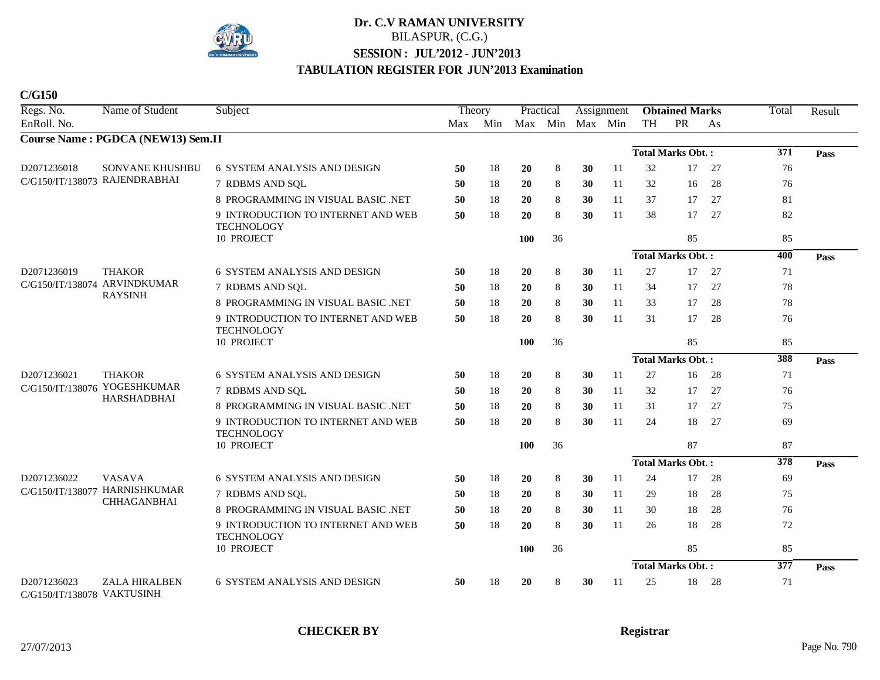

**C/G150**

| Regs. No.                                 | Name of Student                                                 | Subject                                                 | Theory |         | Practical  |         | Assignment |               | <b>Obtained Marks</b>    |                          |     | Total            | Result |
|-------------------------------------------|-----------------------------------------------------------------|---------------------------------------------------------|--------|---------|------------|---------|------------|---------------|--------------------------|--------------------------|-----|------------------|--------|
| EnRoll. No.                               |                                                                 |                                                         |        | Max Min |            | Max Min |            | Max Min       | TH                       | PR                       | As  |                  |        |
|                                           | Course Name: PGDCA (NEW13) Sem.II                               |                                                         |        |         |            |         |            |               |                          |                          |     |                  |        |
|                                           |                                                                 |                                                         |        |         |            |         |            |               |                          | <b>Total Marks Obt.:</b> |     | $\overline{371}$ | Pass   |
| D2071236018                               | <b>SONVANE KHUSHBU</b><br>C/G150/IT/138073 RAJENDRABHAI         | 6 SYSTEM ANALYSIS AND DESIGN                            | 50     | 18      | 20         | $\,8\,$ | 30         | <sup>11</sup> | 32                       | 17                       | 27  | 76               |        |
|                                           |                                                                 | 7 RDBMS AND SQL                                         | 50     | 18      | 20         | $\,8\,$ | 30         | 11            | 32                       | 16                       | 28  | 76               |        |
|                                           |                                                                 | 8 PROGRAMMING IN VISUAL BASIC .NET                      | 50     | 18      | 20         | 8       | 30         | 11            | 37                       | 17                       | 27  | 81               |        |
|                                           |                                                                 | 9 INTRODUCTION TO INTERNET AND WEB<br><b>TECHNOLOGY</b> | 50     | 18      | 20         | $\,8\,$ | 30         | 11            | 38                       | 17                       | 27  | 82               |        |
|                                           |                                                                 | 10 PROJECT                                              |        |         | <b>100</b> | 36      |            |               |                          | 85                       |     | 85               |        |
|                                           |                                                                 |                                                         |        |         |            |         |            |               | <b>Total Marks Obt.:</b> |                          |     | 400              | Pass   |
| D2071236019                               | <b>THAKOR</b><br>C/G150/IT/138074 ARVINDKUMAR<br><b>RAYSINH</b> | <b>6 SYSTEM ANALYSIS AND DESIGN</b>                     | 50     | 18      | 20         | 8       | 30         | 11            | 27                       | 17                       | 27  | 71               |        |
|                                           |                                                                 | 7 RDBMS AND SQL                                         | 50     | 18      | 20         | $\,8\,$ | 30         | 11            | 34                       | 17                       | 27  | 78               |        |
|                                           |                                                                 | 8 PROGRAMMING IN VISUAL BASIC .NET                      | 50     | 18      | 20         | 8       | 30         | 11            | 33                       | 17                       | 28  | 78               |        |
|                                           |                                                                 | 9 INTRODUCTION TO INTERNET AND WEB<br><b>TECHNOLOGY</b> | 50     | 18      | 20         | 8       | 30         | 11            | 31                       | 17                       | 28  | 76               |        |
|                                           |                                                                 | 10 PROJECT                                              |        |         | <b>100</b> | 36      |            |               |                          | 85                       |     | 85               |        |
|                                           |                                                                 |                                                         |        |         |            |         |            |               |                          | <b>Total Marks Obt.:</b> |     | 388              | Pass   |
| D2071236021                               | <b>THAKOR</b><br>C/G150/IT/138076 YOGESHKUMAR<br>HARSHADBHAI    | 6 SYSTEM ANALYSIS AND DESIGN                            | 50     | 18      | 20         | $\,8\,$ | 30         | <sup>11</sup> | 27                       | 16                       | 28  | 71               |        |
|                                           |                                                                 | 7 RDBMS AND SQL                                         | 50     | 18      | 20         | $\,8\,$ | 30         | <sup>11</sup> | 32                       | 17                       | 27  | 76               |        |
|                                           |                                                                 | 8 PROGRAMMING IN VISUAL BASIC .NET                      | 50     | 18      | 20         | $\,8\,$ | 30         | 11            | 31                       | 17                       | 27  | 75               |        |
|                                           |                                                                 | 9 INTRODUCTION TO INTERNET AND WEB                      | 50     | 18      | 20         | $\,8\,$ | 30         | 11            | 24                       | 18                       | 27  | 69               |        |
|                                           |                                                                 | <b>TECHNOLOGY</b><br>10 PROJECT                         |        |         | 100        | 36      |            |               |                          | 87                       |     | 87               |        |
|                                           |                                                                 |                                                         |        |         |            |         |            |               | <b>Total Marks Obt.:</b> |                          |     | $\overline{378}$ | Pass   |
| D2071236022<br>C/G150/IT/138077           | <b>VASAVA</b><br><b>HARNISHKUMAR</b><br><b>CHHAGANBHAI</b>      | 6 SYSTEM ANALYSIS AND DESIGN                            | 50     | 18      | 20         | $\,8\,$ | 30         | 11            | 24                       | 17                       | 28  | 69               |        |
|                                           |                                                                 | 7 RDBMS AND SQL                                         | 50     | 18      | 20         | $\,8\,$ | 30         | 11            | 29                       | 18                       | 28  | 75               |        |
|                                           |                                                                 | 8 PROGRAMMING IN VISUAL BASIC .NET                      | 50     | 18      | 20         | $\,8\,$ | 30         | 11            | 30                       | 18                       | 28  | 76               |        |
|                                           |                                                                 | 9 INTRODUCTION TO INTERNET AND WEB<br><b>TECHNOLOGY</b> | 50     | 18      | 20         | 8       | 30         | 11            | 26                       | 18                       | 28  | 72               |        |
|                                           |                                                                 | 10 PROJECT                                              |        |         | <b>100</b> | 36      |            |               |                          | 85                       |     | 85               |        |
|                                           |                                                                 |                                                         |        |         |            |         |            |               | <b>Total Marks Obt.:</b> |                          |     | 377              | Pass   |
| D2071236023<br>C/G150/IT/138078 VAKTUSINH | <b>ZALA HIRALBEN</b>                                            | <b>6 SYSTEM ANALYSIS AND DESIGN</b>                     | 50     | 18      | 20         | 8       | 30         | 11            | 25                       | 18                       | -28 | 71               |        |